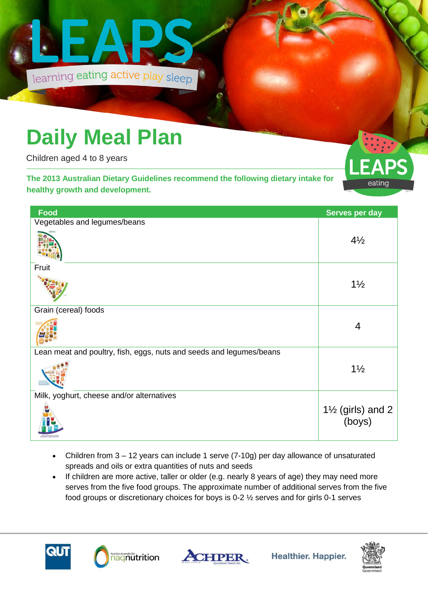

## **Daily Meal Plan**

Children aged 4 to 8 years

**The 2013 Australian Dietary Guidelines recommend the following dietary intake for healthy growth and development.** 



| Food                                                                | Serves per day                         |
|---------------------------------------------------------------------|----------------------------------------|
| Vegetables and legumes/beans                                        |                                        |
|                                                                     | $4\frac{1}{2}$                         |
| Fruit                                                               |                                        |
|                                                                     | $1\frac{1}{2}$                         |
| Grain (cereal) foods                                                |                                        |
|                                                                     | 4                                      |
| Lean meat and poultry, fish, eggs, nuts and seeds and legumes/beans |                                        |
|                                                                     | $1\frac{1}{2}$                         |
| Milk, yoghurt, cheese and/or alternatives                           |                                        |
|                                                                     | $1\frac{1}{2}$ (girls) and 2<br>(boys) |

- Children from 3 12 years can include 1 serve (7-10g) per day allowance of unsaturated spreads and oils or extra quantities of nuts and seeds
- If children are more active, taller or older (e.g. nearly 8 years of age) they may need more serves from the five food groups. The approximate number of additional serves from the five food groups or discretionary choices for boys is 0-2 ½ serves and for girls 0-1 serves